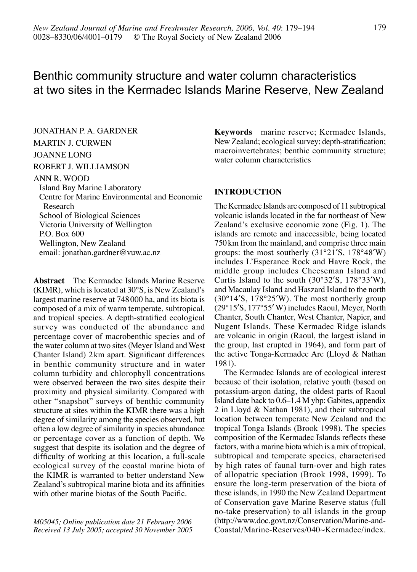# Benthic community structure and water column characteristics at two sites in the Kermadec Islands Marine Reserve, New Zealand

Jonathan P. A. Gardner

# Martin J. Curwen

# Joanne Long

#### Robert J. Williamson

#### Ann R. Wood

Island Bay Marine Laboratory Centre for Marine Environmental and Economic Research School of Biological Sciences Victoria University of Wellington P.O. Box 600

Wellington, New Zealand email: jonathan.gardner@vuw.ac.nz

**Abstract** The Kermadec Islands Marine Reserve (KIMR), which is located at 30°S, is New Zealand's largest marine reserve at 748000 ha, and its biota is composed of a mix of warm temperate, subtropical, and tropical species. A depth-stratified ecological survey was conducted of the abundance and percentage cover of macrobenthic species and of the water column at two sites (Meyer Island and West Chanter Island) 2km apart. Significant differences in benthic community structure and in water column turbidity and chlorophyll concentrations were observed between the two sites despite their proximity and physical similarity. Compared with other "snapshot" surveys of benthic community structure at sites within the KIMR there was a high degree of similarity among the species observed, but often a low degree of similarity in species abundance or percentage cover as a function of depth. We suggest that despite its isolation and the degree of difficulty of working at this location, a full-scale ecological survey of the coastal marine biota of the KIMR is warranted to better understand New Zealand's subtropical marine biota and its affinities with other marine biotas of the South Pacific.

**Keywords** marine reserve; Kermadec Islands, New Zealand; ecological survey; depth-stratification; macroinvertebrates; benthic community structure; water column characteristics

#### **INTRODUCTION**

The Kermadec Islands are composed of 11 subtropical volcanic islands located in the far northeast of New Zealand's exclusive economic zone (Fig. 1). The islands are remote and inaccessible, being located 750km from the mainland, and comprise three main groups: the most southerly (31°21′S, 178°48′W) includes L'Esperance Rock and Havre Rock, the middle group includes Cheeseman Island and Curtis Island to the south (30°32′S, 178°33′W), and Macaulay Island and Haszard Island to the north (30°14′S, 178°25′W). The most northerly group (29°15′S, 177°55′ W) includes Raoul, Meyer, North Chanter, South Chanter, West Chanter, Napier, and Nugent Islands. These Kermadec Ridge islands are volcanic in origin (Raoul, the largest island in the group, last erupted in 1964), and form part of the active Tonga-Kermadec Arc (Lloyd & Nathan 1981).

 The Kermadec Islands are of ecological interest because of their isolation, relative youth (based on potassium-argon dating, the oldest parts of Raoul Island date back to 0.6–1.4 M ybp: Gabites, appendix 2 in Lloyd & Nathan 1981), and their subtropical location between temperate New Zealand and the tropical Tonga Islands (Brook 1998). The species composition of the Kermadec Islands reflects these factors, with a marine biota which is a mix of tropical, subtropical and temperate species, characterised by high rates of faunal turn-over and high rates of allopatric speciation (Brook 1998, 1999). To ensure the long-term preservation of the biota of these islands, in 1990 the New Zealand Department of Conservation gave Marine Reserve status (full no-take preservation) to all islands in the group (http://www.doc.govt.nz/Conservation/Marine-and-Coastal/Marine-Reserves/040~Kermadec/index.

*M05045; Online publication date 21 February 2006 Received 13 July 2005; accepted 30 November 2005*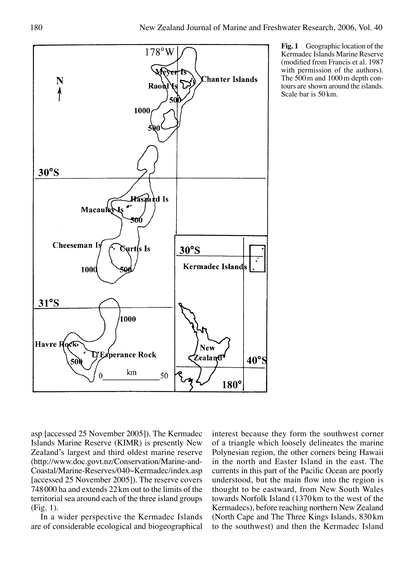

**Fig. 1** Geographic location of the Kermadec Islands Marine Reserve (modified from Francis et al. 1987 with permission of the authors). The 500m and 1000m depth contours are shown around the islands. Scale bar is 50km.

asp [accessed 25 November 2005]). The Kermadec Islands Marine Reserve (KIMR) is presently New Zealand's largest and third oldest marine reserve (http://www.doc.govt.nz/Conservation/Marine-and-Coastal/Marine-Reserves/040~Kermadec/index.asp [accessed 25 November 2005]). The reserve covers 748000 ha and extends 22 km out to the limits of the territorial sea around each of the three island groups (Fig. 1).

In a wider perspective the Kermadec Islands are of considerable ecological and biogeographical

interest because they form the southwest corner of a triangle which loosely delineates the marine Polynesian region, the other corners being Hawaii in the north and Easter Island in the east. The currents in this part of the Pacific Ocean are poorly understood, but the main flow into the region is thought to be eastward, from New South Wales towards Norfolk Island (1370km to the west of the Kermadecs), before reaching northern New Zealand (North Cape and The Three Kings Islands, 830 km to the southwest) and then the Kermadec Island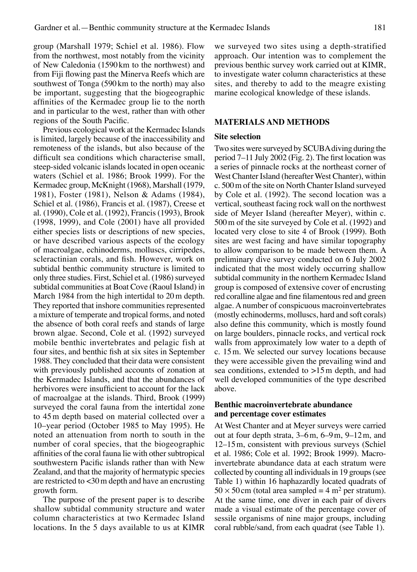group (Marshall 1979; Schiel et al. 1986). Flow from the northwest, most notably from the vicinity of New Caledonia (1590km to the northwest) and from Fiji flowing past the Minerva Reefs which are southwest of Tonga (590km to the north) may also be important, suggesting that the biogeographic affinities of the Kermadec group lie to the north and in particular to the west, rather than with other regions of the South Pacific.

Previous ecological work at the Kermadec Islands is limited, largely because of the inaccessibility and remoteness of the islands, but also because of the difficult sea conditions which characterise small, steep-sided volcanic islands located in open oceanic waters (Schiel et al. 1986; Brook 1999). For the Kermadec group, McKnight (1968), Marshall (1979, 1981), Foster (1981), Nelson & Adams (1984), Schiel et al. (1986), Francis et al. (1987), Creese et al. (1990), Cole et al. (1992), Francis (1993), Brook (1998, 1999), and Cole (2001) have all provided either species lists or descriptions of new species, or have described various aspects of the ecology of macroalgae, echinoderms, molluscs, cirripedes, scleractinian corals, and fish. However, work on subtidal benthic community structure is limited to only three studies. First, Schiel et al. (1986) surveyed subtidal communities at Boat Cove (Raoul Island) in March 1984 from the high intertidal to 20m depth. They reported that inshore communities represented a mixture of temperate and tropical forms, and noted the absence of both coral reefs and stands of large brown algae. Second, Cole et al. (1992) surveyed mobile benthic invertebrates and pelagic fish at four sites, and benthic fish at six sites in September 1988. They concluded that their data were consistent with previously published accounts of zonation at the Kermadec Islands, and that the abundances of herbivores were insufficient to account for the lack of macroalgae at the islands. Third, Brook (1999) surveyed the coral fauna from the intertidal zone to 45m depth based on material collected over a 10–year period (October 1985 to May 1995). He noted an attenuation from north to south in the number of coral species, that the biogeographic affinities of the coral fauna lie with other subtropical southwestern Pacific islands rather than with New Zealand, and that the majority of hermatypic species are restricted to <30m depth and have an encrusting growth form.

 The purpose of the present paper is to describe shallow subtidal community structure and water column characteristics at two Kermadec Island locations. In the 5 days available to us at KIMR we surveyed two sites using a depth-stratified approach. Our intention was to complement the previous benthic survey work carried out at KIMR, to investigate water column characteristics at these sites, and thereby to add to the meagre existing marine ecological knowledge of these islands.

#### **MATERIALS AND METHODS**

#### **Site selection**

Two sites were surveyed by SCUBA diving during the period 7–11 July 2002 (Fig. 2). The first location was a series of pinnacle rocks at the northeast corner of West Chanter Island (hereafter West Chanter), within c. 500m of the site on North Chanter Island surveyed by Cole et al. (1992). The second location was a vertical, southeast facing rock wall on the northwest side of Meyer Island (hereafter Meyer), within c. 500m of the site surveyed by Cole et al. (1992) and located very close to site 4 of Brook (1999). Both sites are west facing and have similar topography to allow comparison to be made between them. A preliminary dive survey conducted on 6 July 2002 indicated that the most widely occurring shallow subtidal community in the northern Kermadec Island group is composed of extensive cover of encrusting red coralline algae and fine filamentous red and green algae. A number of conspicuous macroinvertebrates (mostly echinoderms, molluscs, hard and soft corals) also define this community, which is mostly found on large boulders, pinnacle rocks, and vertical rock walls from approximately low water to a depth of c. 15m. We selected our survey locations because they were accessible given the prevailing wind and sea conditions, extended to >15m depth, and had well developed communities of the type described above.

## **Benthic macroinvertebrate abundance and percentage cover estimates**

At West Chanter and at Meyer surveys were carried out at four depth strata, 3–6m, 6–9m, 9–12m, and 12–15m, consistent with previous surveys (Schiel et al. 1986; Cole et al. 1992; Brook 1999). Macroinvertebrate abundance data at each stratum were collected by counting all individuals in 19 groups (see Table 1) within 16 haphazardly located quadrats of  $50 \times 50$  cm (total area sampled = 4 m<sup>2</sup> per stratum). At the same time, one diver in each pair of divers made a visual estimate of the percentage cover of sessile organisms of nine major groups, including coral rubble/sand, from each quadrat (see Table 1).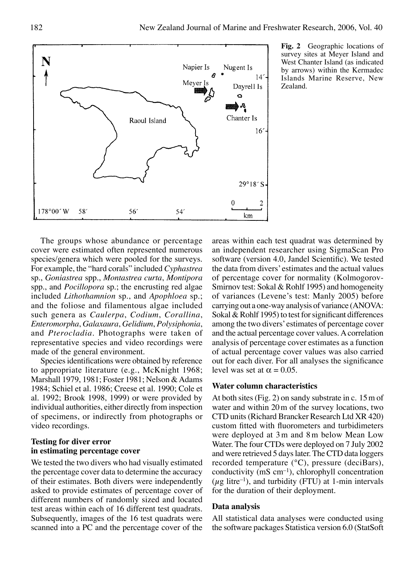Zealand.

**Fig. 2** Geographic locations of survey sites at Meyer Island and West Chanter Island (as indicated by arrows) within the Kermadec Islands Marine Reserve, New



Species identifications were obtained by reference to appropriate literature (e.g., McKnight 1968; Marshall 1979, 1981; Foster 1981; Nelson & Adams 1984; Schiel et al. 1986; Creese et al. 1990; Cole et al. 1992; Brook 1998, 1999) or were provided by individual authorities, either directly from inspection of specimens, or indirectly from photographs or video recordings.

## **Testing for diver error in estimating percentage cover**

We tested the two divers who had visually estimated the percentage cover data to determine the accuracy of their estimates. Both divers were independently asked to provide estimates of percentage cover of different numbers of randomly sized and located test areas within each of 16 different test quadrats. Subsequently, images of the 16 test quadrats were scanned into a PC and the percentage cover of the

areas within each test quadrat was determined by an independent researcher using SigmaScan Pro software (version 4.0, Jandel Scientific). We tested the data from divers' estimates and the actual values of percentage cover for normality (Kolmogorov-Smirnov test: Sokal & Rohlf 1995) and homogeneity of variances (Levene's test: Manly 2005) before carrying out a one-way analysis of variance (ANOVA: Sokal & Rohlf 1995) to test for significant differences among the two divers' estimates of percentage cover and the actual percentage cover values. A correlation analysis of percentage cover estimates as a function of actual percentage cover values was also carried out for each diver. For all analyses the significance level was set at  $\alpha = 0.05$ .

#### **Water column characteristics**

At both sites (Fig. 2) on sandy substrate in c. 15m of water and within 20m of the survey locations, two CTD units (Richard Brancker Research Ltd XR 420) custom fitted with fluorometers and turbidimeters were deployed at 3m and 8m below Mean Low Water. The four CTDs were deployed on 7 July 2002 and were retrieved 5 days later. The CTD data loggers recorded temperature (°C), pressure (deciBars), conductivity  $(mS \text{ cm}^{-1})$ , chlorophyll concentration ( $\mu$ g litre<sup>-1</sup>), and turbidity (FTU) at 1-min intervals for the duration of their deployment.

#### **Data analysis**

All statistical data analyses were conducted using the software packages Statistica version 6.0 (StatSoft

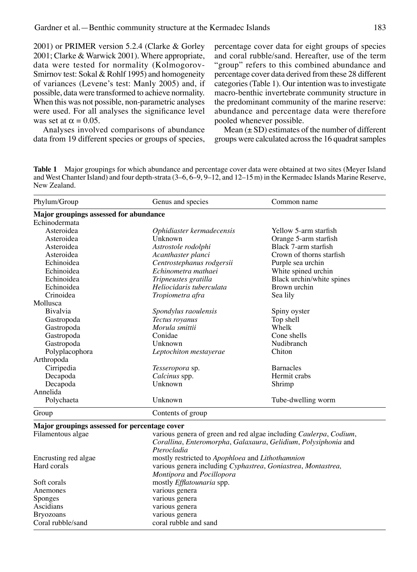2001) or PRIMER version 5.2.4 (Clarke & Gorley 2001; Clarke & Warwick 2001). Where appropriate, data were tested for normality (Kolmogorov-Smirnov test: Sokal & Rohlf 1995) and homogeneity of variances (Levene's test: Manly 2005) and, if possible, data were transformed to achieve normality. When this was not possible, non-parametric analyses were used. For all analyses the significance level was set at  $\alpha = 0.05$ .

 Analyses involved comparisons of abundance data from 19 different species or groups of species, percentage cover data for eight groups of species and coral rubble/sand. Hereafter, use of the term "group" refers to this combined abundance and percentage cover data derived from these 28 different categories (Table 1). Our intention was to investigate macro-benthic invertebrate community structure in the predominant community of the marine reserve: abundance and percentage data were therefore pooled whenever possible.

Mean  $(\pm SD)$  estimates of the number of different groups were calculated across the 16 quadrat samples

**Table 1** Major groupings for which abundance and percentage cover data were obtained at two sites (Meyer Island and West Chanter Island) and four depth-strata (3–6, 6–9, 9–12, and 12–15m) in the Kermadec Islands Marine Reserve, New Zealand.

| Phylum/Group                                  | Genus and species                                                                                                                                                  | Common name               |  |  |  |
|-----------------------------------------------|--------------------------------------------------------------------------------------------------------------------------------------------------------------------|---------------------------|--|--|--|
| Major groupings assessed for abundance        |                                                                                                                                                                    |                           |  |  |  |
| Echinodermata                                 |                                                                                                                                                                    |                           |  |  |  |
| Asteroidea                                    | Ophidiaster kermadecensis                                                                                                                                          | Yellow 5-arm starfish     |  |  |  |
| Asteroidea                                    | Unknown                                                                                                                                                            | Orange 5-arm starfish     |  |  |  |
| Asteroidea                                    | Astrostole rodolphi                                                                                                                                                | Black 7-arm starfish      |  |  |  |
| Asteroidea                                    | Acanthaster planci                                                                                                                                                 | Crown of thorns starfish  |  |  |  |
| Echinoidea                                    | Centrostephanus rodgersii                                                                                                                                          | Purple sea urchin         |  |  |  |
| Echinoidea                                    | Echinometra mathaei                                                                                                                                                | White spined urchin       |  |  |  |
| Echinoidea                                    | Tripneustes gratilla                                                                                                                                               | Black urchin/white spines |  |  |  |
| Echinoidea                                    | Heliocidaris tuberculata                                                                                                                                           | Brown urchin              |  |  |  |
| Crinoidea                                     | Tropiometra afra                                                                                                                                                   | Sea lily                  |  |  |  |
| Mollusca                                      |                                                                                                                                                                    |                           |  |  |  |
| <b>Bivalvia</b>                               | Spondylus raoulensis                                                                                                                                               | Spiny oyster              |  |  |  |
| Gastropoda                                    | Tectus royanus                                                                                                                                                     | Top shell                 |  |  |  |
| Gastropoda                                    | Morula smittii                                                                                                                                                     | Whelk                     |  |  |  |
| Gastropoda                                    | Conidae                                                                                                                                                            | Cone shells               |  |  |  |
| Gastropoda                                    | Unknown                                                                                                                                                            | Nudibranch                |  |  |  |
| Polyplacophora                                | Leptochiton mestayerae                                                                                                                                             | Chiton                    |  |  |  |
| Arthropoda                                    |                                                                                                                                                                    |                           |  |  |  |
| Cirripedia                                    | <i>Tesseropora</i> sp.                                                                                                                                             | <b>Barnacles</b>          |  |  |  |
| Decapoda                                      | Calcinus spp.                                                                                                                                                      | Hermit crabs              |  |  |  |
| Decapoda                                      | Unknown<br>Shrimp                                                                                                                                                  |                           |  |  |  |
| Annelida                                      |                                                                                                                                                                    |                           |  |  |  |
| Polychaeta                                    | Unknown                                                                                                                                                            | Tube-dwelling worm        |  |  |  |
| Group                                         | Contents of group                                                                                                                                                  |                           |  |  |  |
| Major groupings assessed for percentage cover |                                                                                                                                                                    |                           |  |  |  |
| Filamentous algae                             | various genera of green and red algae including <i>Caulerpa</i> , <i>Codium</i> ,<br>Corallina, Enteromorpha, Galaxaura, Gelidium, Polysiphonia and<br>Pterocladia |                           |  |  |  |
| Encrusting red algae                          | mostly restricted to Apophloea and Lithothamnion                                                                                                                   |                           |  |  |  |

| Hard corals       | various genera including Cyphastrea, Goniastrea, Montastrea, |
|-------------------|--------------------------------------------------------------|
|                   | <i>Montipora</i> and <i>Pocillopora</i>                      |
| Soft corals       | mostly <i>Efflatounaria</i> spp.                             |
| Anemones          | various genera                                               |
| Sponges           | various genera                                               |
| Ascidians         | various genera                                               |
| <b>Bryozoans</b>  | various genera                                               |
| Coral rubble/sand | coral rubble and sand                                        |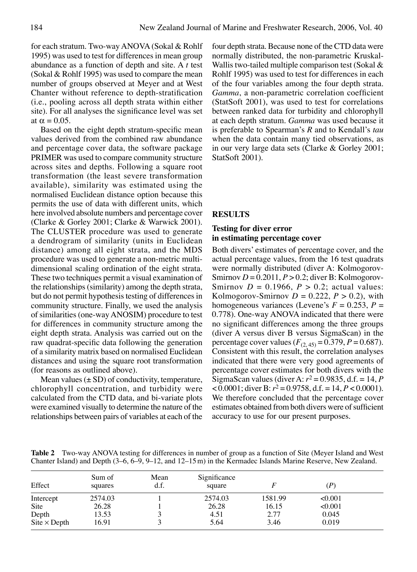for each stratum. Two-way ANOVA (Sokal & Rohlf 1995) was used to test for differences in mean group abundance as a function of depth and site. A *t* test (Sokal & Rohlf 1995) was used to compare the mean number of groups observed at Meyer and at West Chanter without reference to depth-stratification (i.e., pooling across all depth strata within either site). For all analyses the significance level was set at  $\alpha = 0.05$ .

Based on the eight depth stratum-specific mean values derived from the combined raw abundance and percentage cover data, the software package PRIMER was used to compare community structure across sites and depths. Following a square root transformation (the least severe transformation available), similarity was estimated using the normalised Euclidean distance option because this permits the use of data with different units, which here involved absolute numbers and percentage cover (Clarke & Gorley 2001; Clarke & Warwick 2001). The CLUSTER procedure was used to generate a dendrogram of similarity (units in Euclidean distance) among all eight strata, and the MDS procedure was used to generate a non-metric multidimensional scaling ordination of the eight strata. These two techniques permit a visual examination of the relationships (similarity) among the depth strata, but do not permit hypothesis testing of differences in community structure. Finally, we used the analysis of similarities (one-way ANOSIM) procedure to test for differences in community structure among the eight depth strata. Analysis was carried out on the raw quadrat-specific data following the generation of a similarity matrix based on normalised Euclidean distances and using the square root transformation (for reasons as outlined above).

Mean values  $(\pm SD)$  of conductivity, temperature, chlorophyll concentration, and turbidity were calculated from the CTD data, and bi-variate plots were examined visually to determine the nature of the relationships between pairs of variables at each of the four depth strata. Because none of the CTD data were normally distributed, the non-parametric Kruskal-Wallis two-tailed multiple comparison test (Sokal & Rohlf 1995) was used to test for differences in each of the four variables among the four depth strata. *Gamma*, a non-parametric correlation coefficient (StatSoft 2001), was used to test for correlations between ranked data for turbidity and chlorophyll at each depth stratum. *Gamma* was used because it is preferable to Spearman's *R* and to Kendall's *tau* when the data contain many tied observations, as in our very large data sets (Clarke & Gorley 2001; StatSoft 2001).

## **RESULTS**

## **Testing for diver error in estimating percentage cover**

Both divers' estimates of percentage cover, and the actual percentage values, from the 16 test quadrats were normally distributed (diver A: Kolmogorov-Smirnov *D* = 0.2011, *P* > 0.2; diver B: Kolmogorov-Smirnov  $D = 0.1966$ ,  $P > 0.2$ ; actual values: Kolmogorov-Smirnov  $D = 0.222$ ,  $P > 0.2$ ), with homogeneous variances (Levene's  $F = 0.253$ ,  $P =$ 0.778). One-way ANOVA indicated that there were no significant differences among the three groups (diver A versus diver B versus SigmaScan) in the percentage cover values  $(F_{(2, 45)} = 0.379, P = 0.687)$ . Consistent with this result, the correlation analyses indicated that there were very good agreements of percentage cover estimates for both divers with the SigmaScan values (diver A:  $r^2$  = 0.9835, d.f. = 14, *P*  $< 0.0001$ ; diver B:  $r^2 = 0.9758$ , d.f. = 14,  $P < 0.0001$ ). We therefore concluded that the percentage cover estimates obtained from both divers were of sufficient accuracy to use for our present purposes.

**Table 2** Two-way ANOVA testing for differences in number of group as a function of Site (Meyer Island and West Chanter Island) and Depth (3–6, 6–9, 9–12, and 12–15m) in the Kermadec Islands Marine Reserve, New Zealand.

| Effect                            | Sum of<br>squares | Mean<br>d.f. | Significance<br>square |         | (P)     |  |
|-----------------------------------|-------------------|--------------|------------------------|---------|---------|--|
| Intercept                         | 2574.03           |              | 2574.03                | 1581.99 | < 0.001 |  |
| Site                              | 26.28             |              | 26.28                  | 16.15   | < 0.001 |  |
| Depth                             | 13.53             |              | 4.51                   | 2.77    | 0.045   |  |
| $\text{Site} \times \text{Depth}$ | 16.91             |              | 5.64                   | 3.46    | 0.019   |  |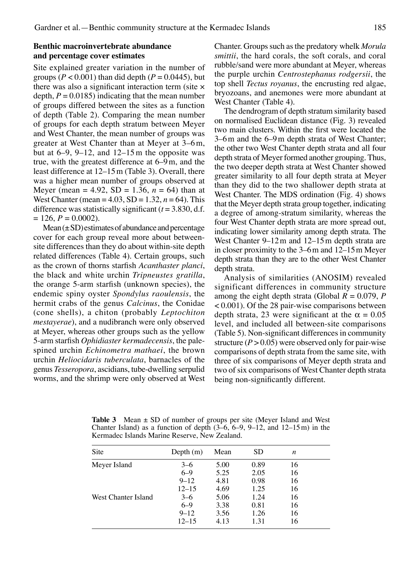## **Benthic macroinvertebrate abundance and percentage cover estimates**

Site explained greater variation in the number of groups ( $P < 0.001$ ) than did depth ( $P = 0.0445$ ), but there was also a significant interaction term (site × depth,  $P = 0.0185$ ) indicating that the mean number of groups differed between the sites as a function of depth (Table 2). Comparing the mean number of groups for each depth stratum between Meyer and West Chanter, the mean number of groups was greater at West Chanter than at Meyer at 3–6m, but at  $6-9$ ,  $9-12$ , and  $12-15$  m the opposite was true, with the greatest difference at 6–9m, and the least difference at 12–15m (Table 3). Overall, there was a higher mean number of groups observed at Meyer (mean = 4.92, SD = 1.36,  $n = 64$ ) than at West Chanter (mean =  $4.03$ , SD =  $1.32$ ,  $n = 64$ ). This difference was statistically significant  $(t = 3.830, d.f.)$  $= 126, P = 0.0002$ .

 $Mean (\pm SD)$  estimates of abundance and percentage cover for each group reveal more about betweensite differences than they do about within-site depth related differences (Table 4). Certain groups, such as the crown of thorns starfish *Acanthaster planci*, the black and white urchin *Tripneustes gratilla*, the orange 5-arm starfish (unknown species), the endemic spiny oyster *Spondylus raoulensis*, the hermit crabs of the genus *Calcinus*, the Conidae (cone shells), a chiton (probably *Leptochiton mestayerae*), and a nudibranch were only observed at Meyer, whereas other groups such as the yellow 5-arm starfish *Ophidiaster kermadecensis*, the palespined urchin *Echinometra mathaei*, the brown urchin *Heliocidaris tuberculata*, barnacles of the genus *Tesseropora*, ascidians, tube-dwelling serpulid worms, and the shrimp were only observed at West Chanter. Groups such as the predatory whelk *Morula smittii*, the hard corals, the soft corals, and coral rubble/sand were more abundant at Meyer, whereas the purple urchin *Centrostephanus rodgersii*, the top shell *Tectus royanus*, the encrusting red algae, bryozoans, and anemones were more abundant at West Chanter (Table 4).

 The dendrogram of depth stratum similarity based on normalised Euclidean distance (Fig. 3) revealed two main clusters. Within the first were located the 3–6m and the 6–9m depth strata of West Chanter; the other two West Chanter depth strata and all four depth strata of Meyer formed another grouping. Thus, the two deeper depth strata at West Chanter showed greater similarity to all four depth strata at Meyer than they did to the two shallower depth strata at West Chanter. The MDS ordination (Fig. 4) shows that the Meyer depth strata group together, indicating a degree of among-stratum similarity, whereas the four West Chanter depth strata are more spread out, indicating lower similarity among depth strata. The West Chanter 9–12m and 12–15m depth strata are in closer proximity to the 3–6m and 12–15m Meyer depth strata than they are to the other West Chanter depth strata.

 Analysis of similarities (ANOSIM) revealed significant differences in community structure among the eight depth strata (Global  $R = 0.079$ ,  $P$ < 0.001). Of the 28 pair-wise comparisons between depth strata, 23 were significant at the  $\alpha = 0.05$ level, and included all between-site comparisons (Table 5). Non-significant differences in community structure  $(P > 0.05)$  were observed only for pair-wise comparisons of depth strata from the same site, with three of six comparisons of Meyer depth strata and two of six comparisons of West Chanter depth strata being non-significantly different.

**Table 3** Mean  $\pm$  SD of number of groups per site (Meyer Island and West Chanter Island) as a function of depth  $(3-6, 6-9, 9-12,$  and  $12-15 \text{ m})$  in the Kermadec Islands Marine Reserve, New Zealand.

| Site                | Depth $(m)$ | Mean | SD.  | n  |  |
|---------------------|-------------|------|------|----|--|
| Meyer Island        | $3 - 6$     | 5.00 | 0.89 | 16 |  |
|                     | $6 - 9$     | 5.25 | 2.05 | 16 |  |
|                     | $9 - 12$    | 4.81 | 0.98 | 16 |  |
|                     | $12 - 15$   | 4.69 | 1.25 | 16 |  |
| West Chanter Island | $3 - 6$     | 5.06 | 1.24 | 16 |  |
|                     | $6 - 9$     | 3.38 | 0.81 | 16 |  |
|                     | $9 - 12$    | 3.56 | 1.26 | 16 |  |
|                     | $12 - 15$   | 4.13 | 1.31 | 16 |  |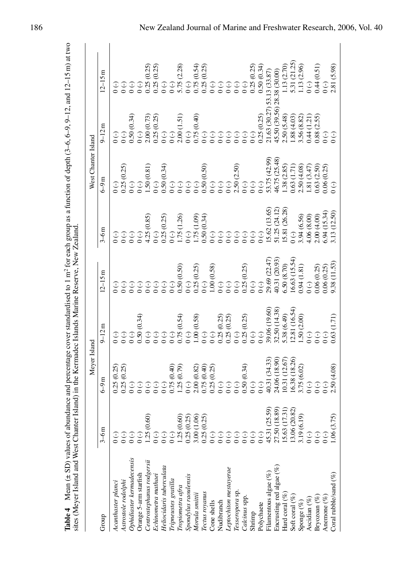|                             |                                                                                                         | Meyer Island                                                                                                                                                                                                                                        |                                               |                                                                                                                                                                                                                                  |                                                                                | West Chanter Island                                                                                                                                                                       |                                                                                                                                                                                                                                                                                                                                  |                                                                                             |
|-----------------------------|---------------------------------------------------------------------------------------------------------|-----------------------------------------------------------------------------------------------------------------------------------------------------------------------------------------------------------------------------------------------------|-----------------------------------------------|----------------------------------------------------------------------------------------------------------------------------------------------------------------------------------------------------------------------------------|--------------------------------------------------------------------------------|-------------------------------------------------------------------------------------------------------------------------------------------------------------------------------------------|----------------------------------------------------------------------------------------------------------------------------------------------------------------------------------------------------------------------------------------------------------------------------------------------------------------------------------|---------------------------------------------------------------------------------------------|
| Group                       | $3-6m$                                                                                                  | $6-9m$                                                                                                                                                                                                                                              | $9-12m$                                       | $12 - 15m$                                                                                                                                                                                                                       | $3-6m$                                                                         | $6-9m$                                                                                                                                                                                    | $9 - 12m$                                                                                                                                                                                                                                                                                                                        | $12 - 15m$                                                                                  |
| Acanthaster planci          |                                                                                                         | 0.25(0.25)                                                                                                                                                                                                                                          | $\odot$                                       |                                                                                                                                                                                                                                  | $\overline{C}$                                                                 |                                                                                                                                                                                           | $\odot$                                                                                                                                                                                                                                                                                                                          | $\odot$                                                                                     |
| Astrostole rodolphi         |                                                                                                         | 0.25(0.25)                                                                                                                                                                                                                                          |                                               |                                                                                                                                                                                                                                  |                                                                                | 0.25(0.25)                                                                                                                                                                                |                                                                                                                                                                                                                                                                                                                                  |                                                                                             |
| Ophidiaster kermadecensis   |                                                                                                         |                                                                                                                                                                                                                                                     | $\begin{matrix} 1 \\ 0 \\ 0 \end{matrix}$     | $\begin{array}{c} {\mathbb C} \, {\mathbb C} \, {\mathbb C} \, {\mathbb C} \, {\mathbb C} \, {\mathbb C} \, {\mathbb C} \, {\mathbb C} \\ {\circ} \, {\circ} \, {\circ} \, {\circ} \, {\circ} \, {\circ} \, {\circ} \end{array}$ | CCC<br>000                                                                     | $\begin{array}{c} 0~(\text{-})\\ 0~(\text{-})\\ 1.50~(0.81)\\ 0~(\text{-}) \end{array}$                                                                                                   | (0.34)<br>$\begin{array}{c}\n\odot \\ \odot \\ 0.50 \\ 0\n\end{array}$                                                                                                                                                                                                                                                           |                                                                                             |
| Orange 5-arm starfish       |                                                                                                         |                                                                                                                                                                                                                                                     |                                               |                                                                                                                                                                                                                                  |                                                                                |                                                                                                                                                                                           |                                                                                                                                                                                                                                                                                                                                  |                                                                                             |
| Centrostephanus rodgersii   | .25(0.60)                                                                                               | $\begin{matrix} 1 \\ 0 \\ 0 \end{matrix}$                                                                                                                                                                                                           | $0.50(0.34)$<br>0 (-)<br>0 (-)                |                                                                                                                                                                                                                                  | $4.25(0.85)$<br>0(-)                                                           |                                                                                                                                                                                           |                                                                                                                                                                                                                                                                                                                                  |                                                                                             |
| Echinometra mathaei         |                                                                                                         |                                                                                                                                                                                                                                                     |                                               |                                                                                                                                                                                                                                  |                                                                                |                                                                                                                                                                                           |                                                                                                                                                                                                                                                                                                                                  |                                                                                             |
| Heliocidaris tuberculata    | $\overline{0}$ (-)                                                                                      | $(-) 0$                                                                                                                                                                                                                                             | $\odot$                                       |                                                                                                                                                                                                                                  |                                                                                | $0.50 (0.34)$<br>$0 (-)$<br>$0 (-)$<br>$0 (-)$<br>$0 (-)$                                                                                                                                 | $\begin{array}{ll} \n 2000073 \\  00002 \\  00000 \\  00000 \\  00000 \\  00000 \\  00000 \\  00000 \\  00000 \\  00000 \\  00000 \\  00000 \\  00000 \\  00000 \\  00000 \\  00000 \\  00000 \\  00000 \\  00000 \\  00000 \\  00000 \\  00000 \\  00000 \\  00000 \\  00000 \\  00000 \\  00000 \\  00000 \\  00000 \\  00000$ |                                                                                             |
| Tripneustes gratilla        |                                                                                                         |                                                                                                                                                                                                                                                     | $(\text{-})$ 0                                |                                                                                                                                                                                                                                  |                                                                                |                                                                                                                                                                                           |                                                                                                                                                                                                                                                                                                                                  |                                                                                             |
| Tropiometra afra            |                                                                                                         | $\begin{array}{c} 0.75 \ (0.40) \\ 1.25 \ (0.79) \\ 0 \ (\cdot) \end{array}$                                                                                                                                                                        |                                               |                                                                                                                                                                                                                                  |                                                                                |                                                                                                                                                                                           |                                                                                                                                                                                                                                                                                                                                  |                                                                                             |
| Spondylus raoulensis        |                                                                                                         |                                                                                                                                                                                                                                                     | $0.75(0.54)$<br>0 (-)                         | $0.50(0.50)$<br>$0 (-)$                                                                                                                                                                                                          |                                                                                |                                                                                                                                                                                           |                                                                                                                                                                                                                                                                                                                                  |                                                                                             |
| Morula smittii              |                                                                                                         |                                                                                                                                                                                                                                                     |                                               |                                                                                                                                                                                                                                  |                                                                                |                                                                                                                                                                                           |                                                                                                                                                                                                                                                                                                                                  |                                                                                             |
| Tectus royanus              | 1.25 (0.60)<br>0.25 (0.25)<br>3.00 (1.06)<br>0.25 (0.25)<br>0 (-)                                       |                                                                                                                                                                                                                                                     |                                               | $0.25(0.25)$<br>$0( - )$                                                                                                                                                                                                         |                                                                                |                                                                                                                                                                                           |                                                                                                                                                                                                                                                                                                                                  |                                                                                             |
| Cone shells                 |                                                                                                         |                                                                                                                                                                                                                                                     | 1.00 (0.58)<br>0 (-)<br>0 (-)                 |                                                                                                                                                                                                                                  |                                                                                |                                                                                                                                                                                           |                                                                                                                                                                                                                                                                                                                                  |                                                                                             |
| Nudibranch                  |                                                                                                         | $\begin{array}{ll} 2.00\,0.82)\\ 2.00\,0.40\\ 0.75\,0.40\\ 0.02\,0.25\\ 0.00\,0.00\,0.00\,0.00\,0\\ 0.00\,0.00\,0.00\,0\\ 0.00\,0.00\,0.00\,0\\ 0.00\,0.00\,0.00\,0\\ 0.00\,0.00\,0.00\,0\\ 0.00\,0.00\,0.00\,0\\ 0.00\,0.00\,0.00\,0\\ 0.00\,0.00$ | 0.25(0.25)                                    | $1.00 (0.58)$<br>0 (-)<br>0 (-)                                                                                                                                                                                                  |                                                                                | $0.50(0.50)$<br>0 (-)<br>0 (-)<br>0 (-)                                                                                                                                                   |                                                                                                                                                                                                                                                                                                                                  |                                                                                             |
| Leptochiton mestayerae      |                                                                                                         |                                                                                                                                                                                                                                                     |                                               |                                                                                                                                                                                                                                  |                                                                                |                                                                                                                                                                                           |                                                                                                                                                                                                                                                                                                                                  |                                                                                             |
| Tesseropora sp.             |                                                                                                         |                                                                                                                                                                                                                                                     | $0.25(0.25)$<br>0 (-)                         | $(\cdot)$                                                                                                                                                                                                                        |                                                                                | $2.50$ (2.50)<br>0 (-)<br>0 (-)                                                                                                                                                           |                                                                                                                                                                                                                                                                                                                                  | 0 (-)<br>0 (-)<br>0 (-)<br>0 25 (0.25)<br>0 50 (0.34)                                       |
| Calcinus spp.               | $\overline{C}$                                                                                          |                                                                                                                                                                                                                                                     |                                               |                                                                                                                                                                                                                                  |                                                                                |                                                                                                                                                                                           |                                                                                                                                                                                                                                                                                                                                  |                                                                                             |
| Shrimp                      |                                                                                                         |                                                                                                                                                                                                                                                     | $0.25(0.25)$<br>0 (-)<br>0 (-)                | $0.25(0.25)$<br>0 (-)<br>0 (-)                                                                                                                                                                                                   |                                                                                |                                                                                                                                                                                           |                                                                                                                                                                                                                                                                                                                                  |                                                                                             |
| Polychaete                  | $\left(\text{-}\right)$                                                                                 |                                                                                                                                                                                                                                                     |                                               |                                                                                                                                                                                                                                  |                                                                                | $(-) 0$                                                                                                                                                                                   |                                                                                                                                                                                                                                                                                                                                  |                                                                                             |
| Filamentous algae (%)       | $\begin{array}{c} 45.31 \ (25.59) \\ 27.50 \ (18.89) \\ 15.63 \ (17.31) \\ 13.06 \ (20.82) \end{array}$ | 40.31 (34.33)                                                                                                                                                                                                                                       | 39.06 (19.60)<br>32.50 (14.38)<br>5.38 (6.49) | 29.69 (22.47)                                                                                                                                                                                                                    | $15.62(13.65)$<br>$51.25(24.12)$                                               | $\begin{array}{l} 53.75 \ (42.99) \\ 46.75 \ (25.48) \\ 1.38 \ (2.85) \\ 0.63 \ (1.71) \\ 2.50 \ (4.08) \\ 1.81 \ (3.4.7) \\ 0.63 \ (2.50) \\ 0.63 \ (2.50) \\ 0.06 \ (0.25) \end{array}$ | 21.63 (30.27                                                                                                                                                                                                                                                                                                                     | 53.13 (33.87)                                                                               |
| Encrusting red algae $(\%)$ |                                                                                                         | $24.06~(18.90)$ $10.31~(12.67)$                                                                                                                                                                                                                     |                                               | 40.31 (20.93)                                                                                                                                                                                                                    |                                                                                |                                                                                                                                                                                           | 45.50 (39.56)                                                                                                                                                                                                                                                                                                                    |                                                                                             |
| Hard coral $(\%)$           |                                                                                                         |                                                                                                                                                                                                                                                     |                                               | $\frac{6.50 (8.70)}{16.63 (15.54)}$                                                                                                                                                                                              | 15.81 (26.28)                                                                  |                                                                                                                                                                                           | 2.50(5.48)                                                                                                                                                                                                                                                                                                                       |                                                                                             |
| Soft coral (%)              |                                                                                                         | 16.38 (18.26)                                                                                                                                                                                                                                       | (2.81(16.54))                                 |                                                                                                                                                                                                                                  | $\overline{C}$                                                                 |                                                                                                                                                                                           |                                                                                                                                                                                                                                                                                                                                  |                                                                                             |
| Sponge $(\%)$               | 3.19 (6.19)                                                                                             | $3.75(6.02)$<br>0 (-)                                                                                                                                                                                                                               | $1.50(2.00)$<br>0(-)                          | $0.94(1.81)$<br>$0(-)$                                                                                                                                                                                                           | $\begin{array}{c} 3.94 \ (6.56) \\ 4.06 \ (8.00) \\ 2.00 \ (4.00) \end{array}$ |                                                                                                                                                                                           |                                                                                                                                                                                                                                                                                                                                  | $(38.38 \overline{ (30.00)} )$<br>1.13 (2.70)<br>1.13 (2.70)<br>5.31 (2.125)<br>1.13 (2.96) |
| Ascidian $(\%)$             | $(\textnormal{-})$ 0                                                                                    |                                                                                                                                                                                                                                                     |                                               |                                                                                                                                                                                                                                  |                                                                                |                                                                                                                                                                                           |                                                                                                                                                                                                                                                                                                                                  |                                                                                             |
| Bryozoan $(\%)$             | $(\text{-})$ 0                                                                                          | $(\cdot)$                                                                                                                                                                                                                                           |                                               | 0.06(0.25)                                                                                                                                                                                                                       |                                                                                |                                                                                                                                                                                           | $\begin{array}{c} 1.88\ (4.03) \\ 3.56\ (8.82) \\ 0.44\ (1.21) \\ 0.88\ (2.55) \end{array}$                                                                                                                                                                                                                                      | 0.44(0.51)                                                                                  |
| Anemone $(\%)$              | $\overline{0}$ (-)                                                                                      |                                                                                                                                                                                                                                                     |                                               | 0.06(0.25)                                                                                                                                                                                                                       | 5.94(15.34)                                                                    |                                                                                                                                                                                           | $\overline{O}$                                                                                                                                                                                                                                                                                                                   |                                                                                             |
| Coral rubble/sand (%)       | 1.06(3.75)                                                                                              | 2.50 (4.08)                                                                                                                                                                                                                                         | 0.63 (1.71)                                   | 9.38 (11.53)                                                                                                                                                                                                                     | 3.13 (12.50)                                                                   | $\odot$                                                                                                                                                                                   | $\odot$                                                                                                                                                                                                                                                                                                                          | 2.81 (5.98)                                                                                 |
|                             |                                                                                                         |                                                                                                                                                                                                                                                     |                                               |                                                                                                                                                                                                                                  |                                                                                |                                                                                                                                                                                           |                                                                                                                                                                                                                                                                                                                                  |                                                                                             |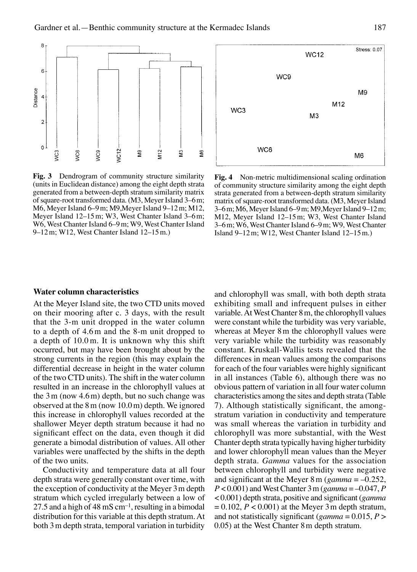

Stress: 0.07 **WC12** WC9 M9 M<sub>12</sub> WC<sub>3</sub> M<sub>3</sub> WC6 M<sub>6</sub>

**Fig. 3** Dendrogram of community structure similarity (units in Euclidean distance) among the eight depth strata generated from a between-depth stratum similarity matrix of square-root transformed data. (M3, Meyer Island 3–6m; M6, Meyer Island 6–9m; M9,Meyer Island 9–12m; M12, Meyer Island 12–15m; W3, West Chanter Island 3–6m; W6, West Chanter Island 6–9m; W9, West Chanter Island 9–12m; W12, West Chanter Island 12–15m.)

**Fig. 4** Non-metric multidimensional scaling ordination of community structure similarity among the eight depth strata generated from a between-depth stratum similarity matrix of square-root transformed data. (M3, Meyer Island 3–6m; M6, Meyer Island 6–9m; M9,Meyer Island 9–12m; M12, Meyer Island 12–15m; W3, West Chanter Island 3–6m; W6, West Chanter Island 6–9m; W9, West Chanter Island 9–12m; W12, West Chanter Island 12–15m.)

#### **Water column characteristics**

At the Meyer Island site, the two CTD units moved on their mooring after c. 3 days, with the result that the 3-m unit dropped in the water column to a depth of 4.6m and the 8-m unit dropped to a depth of 10.0m. It is unknown why this shift occurred, but may have been brought about by the strong currents in the region (this may explain the differential decrease in height in the water column of the two CTD units). The shift in the water column resulted in an increase in the chlorophyll values at the  $3m$  (now  $4.6m$ ) depth, but no such change was observed at the 8m (now 10.0m) depth. We ignored this increase in chlorophyll values recorded at the shallower Meyer depth stratum because it had no significant effect on the data, even though it did generate a bimodal distribution of values. All other variables were unaffected by the shifts in the depth of the two units.

Conductivity and temperature data at all four depth strata were generally constant over time, with the exception of conductivity at the Meyer 3m depth stratum which cycled irregularly between a low of 27.5 and a high of 48 mS  $cm^{-1}$ , resulting in a bimodal distribution for this variable at this depth stratum. At both 3m depth strata, temporal variation in turbidity

and chlorophyll was small, with both depth strata exhibiting small and infrequent pulses in either variable. At West Chanter 8m, the chlorophyll values were constant while the turbidity was very variable, whereas at Meyer 8m the chlorophyll values were very variable while the turbidity was reasonably constant. Kruskall-Wallis tests revealed that the differences in mean values among the comparisons for each of the four variables were highly significant in all instances (Table 6), although there was no obvious pattern of variation in all four water column characteristics among the sites and depth strata (Table 7). Although statistically significant, the amongstratum variation in conductivity and temperature was small whereas the variation in turbidity and chlorophyll was more substantial, with the West Chanter depth strata typically having higher turbidity and lower chlorophyll mean values than the Meyer depth strata. *Gamma* values for the association between chlorophyll and turbidity were negative and significant at the Meyer 8m (*gamma* = –0.252, *P* < 0.001) and West Chanter 3m (*gamma* = –0.047, *P* < 0.001) depth strata, positive and significant (*gamma*  $= 0.102, P < 0.001$  at the Meyer 3 m depth stratum, and not statistically significant (*gamma* = 0.015, *P* > 0.05) at the West Chanter 8m depth stratum.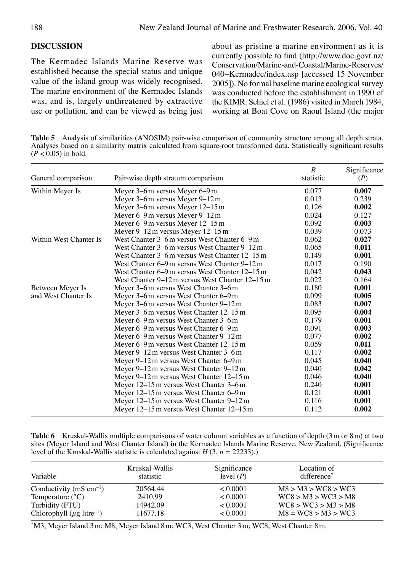## **DISCUSSION**

The Kermadec Islands Marine Reserve was established because the special status and unique value of the island group was widely recognised. The marine environment of the Kermadec Islands was, and is, largely unthreatened by extractive use or pollution, and can be viewed as being just about as pristine a marine environment as it is currently possible to find (http://www.doc.govt.nz/ Conservation/Marine-and-Coastal/Marine-Reserves/ 040~Kermadec/index.asp [accessed 15 November 2005]). No formal baseline marine ecological survey was conducted before the establishment in 1990 of the KIMR. Schiel et al. (1986) visited in March 1984, working at Boat Cove on Raoul Island (the major

**Table 5** Analysis of similarities (ANOSIM) pair-wise comparison of community structure among all depth strata. Analyses based on a similarity matrix calculated from square-root transformed data. Statistically significant results  $(P < 0.05)$  in bold.

| General comparison     | Pair-wise depth stratum comparison              | $\boldsymbol{R}$<br>statistic | Significance<br>(P) |
|------------------------|-------------------------------------------------|-------------------------------|---------------------|
| Within Meyer Is        | Meyer 3–6 m versus Meyer 6–9 m                  | 0.077                         | 0.007               |
|                        | Meyer 3–6 m versus Meyer 9–12 m                 | 0.013                         | 0.239               |
|                        | Meyer $3-6$ m versus Meyer $12-15$ m            | 0.126                         | 0.002               |
|                        | Meyer 6–9 m versus Meyer 9–12 m                 | 0.024                         | 0.127               |
|                        | Meyer $6-9$ m versus Meyer $12-15$ m            | 0.092                         | 0.003               |
|                        | Meyer 9–12 m versus Meyer 12–15 m               | 0.039                         | 0.073               |
| Within West Chanter Is | West Chanter 3–6 m versus West Chanter 6–9 m    | 0.062                         | 0.027               |
|                        | West Chanter 3–6 m versus West Chanter 9–12 m   | 0.065                         | 0.011               |
|                        | West Chanter 3–6 m versus West Chanter 12–15 m  | 0.149                         | 0.001               |
|                        | West Chanter 6–9 m versus West Chanter 9–12 m   | 0.017                         | 0.190               |
|                        | West Chanter 6–9 m versus West Chanter 12–15 m  | 0.042                         | 0.043               |
|                        | West Chanter 9–12 m versus West Chanter 12–15 m | 0.022                         | 0.164               |
| Between Meyer Is       | Meyer 3-6m versus West Chanter 3-6m             | 0.180                         | 0.001               |
| and West Chanter Is    | Meyer 3–6 m versus West Chanter 6–9 m           | 0.099                         | 0.005               |
|                        | Meyer 3–6 m versus West Chanter 9–12 m          | 0.083                         | 0.007               |
|                        | Meyer 3–6 m versus West Chanter 12–15 m         | 0.095                         | 0.004               |
|                        | Meyer 6–9 m versus West Chanter 3–6 m           | 0.179                         | 0.001               |
|                        | Meyer 6–9 m versus West Chanter 6–9 m           | 0.091                         | 0.003               |
|                        | Meyer 6–9 m versus West Chanter 9–12 m          | 0.077                         | 0.002               |
|                        | Meyer 6–9 m versus West Chanter 12–15 m         | 0.059                         | 0.011               |
|                        | Meyer $9-12$ m versus West Chanter $3-6$ m      | 0.117                         | 0.002               |
|                        | Meyer 9–12 m versus West Chanter 6–9 m          | 0.045                         | 0.040               |
|                        | Meyer 9–12 m versus West Chanter 9–12 m         | 0.040                         | 0.042               |
|                        | Meyer 9–12 m versus West Chanter 12–15 m        | 0.046                         | 0.040               |
|                        | Meyer 12–15 m versus West Chanter 3–6 m         | 0.240                         | 0.001               |
|                        | Meyer $12-15$ m versus West Chanter 6–9 m       | 0.121                         | 0.001               |
|                        | Meyer 12–15 m versus West Chanter 9–12 m        | 0.116                         | 0.001               |
|                        | Meyer 12–15 m versus West Chanter 12–15 m       | 0.112                         | 0.002               |

**Table 6** Kruskal-Wallis multiple comparisons of water column variables as a function of depth (3m or 8m) at two sites (Meyer Island and West Chanter Island) in the Kermadec Islands Marine Reserve, New Zealand. (Significance level of the Kruskal-Wallis statistic is calculated against  $H(3, n = 22233)$ .)

| Variable                                    | Kruskal-Wallis<br>statistic | Significance<br>level $(P)$ | Location of<br>difference <sup>*</sup> |
|---------------------------------------------|-----------------------------|-----------------------------|----------------------------------------|
| Conductivity (mS $cm^{-1}$ )                | 20564.44                    | < 0.0001                    | M8 > M3 > WCS > WCS                    |
| Temperature $(^{\circ}C)$                   | 2410.99                     | < 0.0001                    | WC8 > M3 > WC3 > M8                    |
| Turbidity (FTU)                             | 14942.09                    | < 0.0001                    | WC8 > WC3 > M3 > M8                    |
| Chlorophyll ( $\mu$ g litre <sup>-1</sup> ) | 11677.18                    | < 0.0001                    | $M8 = WC8 > M3 > WC3$                  |

\*M3, Meyer Island 3m; M8, Meyer Island 8m; WC3, West Chanter 3m; WC8, West Chanter 8m.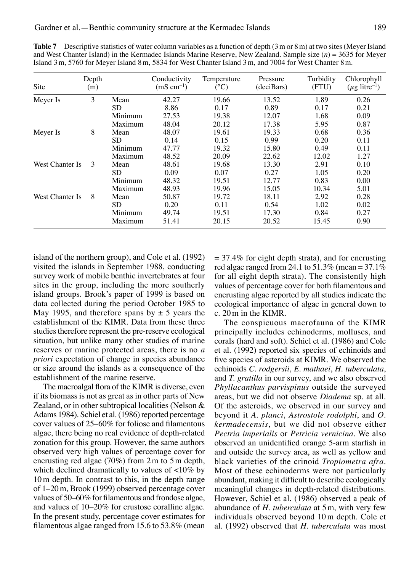| Site            | Depth<br>(m) |         | Conductivity<br>$(mS cm^{-1})$ | Temperature<br>$({}^{\circ}C)$ | Pressure<br>(deciBars) | Turbidity<br>(FTU) | Chlorophyll<br>$(\mu g$ litre <sup>-1</sup> ) |
|-----------------|--------------|---------|--------------------------------|--------------------------------|------------------------|--------------------|-----------------------------------------------|
| Meyer Is        | 3            | Mean    | 42.27                          | 19.66                          | 13.52                  | 1.89               | 0.26                                          |
|                 |              | SD.     | 8.86                           | 0.17                           | 0.89                   | 0.17               | 0.21                                          |
|                 |              | Minimum | 27.53                          | 19.38                          | 12.07                  | 1.68               | 0.09                                          |
|                 |              | Maximum | 48.04                          | 20.12                          | 17.38                  | 5.95               | 0.87                                          |
| Meyer Is        | 8            | Mean    | 48.07                          | 19.61                          | 19.33                  | 0.68               | 0.36                                          |
|                 |              | SD      | 0.14                           | 0.15                           | 0.99                   | 0.20               | 0.11                                          |
|                 |              | Minimum | 47.77                          | 19.32                          | 15.80                  | 0.49               | 0.11                                          |
|                 |              | Maximum | 48.52                          | 20.09                          | 22.62                  | 12.02              | 1.27                                          |
| West Chanter Is | 3            | Mean    | 48.61                          | 19.68                          | 13.30                  | 2.91               | 0.10                                          |
|                 |              | SD      | 0.09                           | 0.07                           | 0.27                   | 1.05               | 0.20                                          |
|                 |              | Minimum | 48.32                          | 19.51                          | 12.77                  | 0.83               | 0.00                                          |
|                 |              | Maximum | 48.93                          | 19.96                          | 15.05                  | 10.34              | 5.01                                          |
| West Chanter Is | 8            | Mean    | 50.87                          | 19.72                          | 18.11                  | 2.92               | 0.28                                          |
|                 |              | SD      | 0.20                           | 0.11                           | 0.54                   | 1.02               | 0.02                                          |
|                 |              | Minimum | 49.74                          | 19.51                          | 17.30                  | 0.84               | 0.27                                          |
|                 |              | Maximum | 51.41                          | 20.15                          | 20.52                  | 15.45              | 0.90                                          |

**Table 7** Descriptive statistics of water column variables as a function of depth (3 m or 8 m) at two sites (Meyer Island and West Chanter Island) in the Kermadec Islands Marine Reserve, New Zealand. Sample size (*n*) = 3635 for Meyer Island 3m, 5760 for Meyer Island 8m, 5834 for West Chanter Island 3m, and 7004 for West Chanter 8m.

island of the northern group), and Cole et al. (1992) visited the islands in September 1988, conducting survey work of mobile benthic invertebrates at four sites in the group, including the more southerly island groups. Brook's paper of 1999 is based on data collected during the period October 1985 to May 1995, and therefore spans by  $\pm$  5 years the establishment of the KIMR. Data from these three studies therefore represent the pre-reserve ecological situation, but unlike many other studies of marine reserves or marine protected areas, there is no *a priori* expectation of change in species abundance or size around the islands as a consequence of the establishment of the marine reserve.

The macroalgal flora of the KIMR is diverse, even if its biomass is not as great as in other parts of New Zealand, or in other subtropical localities (Nelson & Adams 1984). Schiel et al. (1986) reported percentage cover values of 25–60% for foliose and filamentous algae, there being no real evidence of depth-related zonation for this group. However, the same authors observed very high values of percentage cover for encrusting red algae (70%) from 2m to 5m depth, which declined dramatically to values of <10% by 10m depth. In contrast to this, in the depth range of 1–20m, Brook (1999) observed percentage cover values of 50–60% for filamentous and frondose algae, and values of 10–20% for crustose coralline algae. In the present study, percentage cover estimates for filamentous algae ranged from 15.6 to 53.8% (mean

 $= 37.4\%$  for eight depth strata), and for encrusting red algae ranged from 24.1 to 51.3% (mean =  $37.1\%$ ) for all eight depth strata). The consistently high values of percentage cover for both filamentous and encrusting algae reported by all studies indicate the ecological importance of algae in general down to c. 20m in the KIMR.

 The conspicuous macrofauna of the KIMR principally includes echinoderms, molluscs, and corals (hard and soft). Schiel et al. (1986) and Cole et al. (1992) reported six species of echinoids and five species of asteroids at KIMR. We observed the echinoids *C. rodgersii*, *E. mathaei*, *H. tuberculata*, and *T. gratilla* in our survey, and we also observed *Phyllacanthus parvispinus* outside the surveyed areas, but we did not observe *Diadema* sp. at all. Of the asteroids, we observed in our survey and beyond it *A. planci*, *Astrostole rodolphi*, and *O. kermadecensis*, but we did not observe either *Pectria imperialis* or *Petricia vernicina*. We also observed an unidentified orange 5-arm starfish in and outside the survey area, as well as yellow and black varieties of the crinoid *Tropiometra afra*. Most of these echinoderms were not particularly abundant, making it difficult to describe ecologically meaningful changes in depth-related distributions. However, Schiel et al. (1986) observed a peak of abundance of *H. tuberculata* at 5m, with very few individuals observed beyond 10m depth. Cole et al. (1992) observed that *H. tuberculata* was most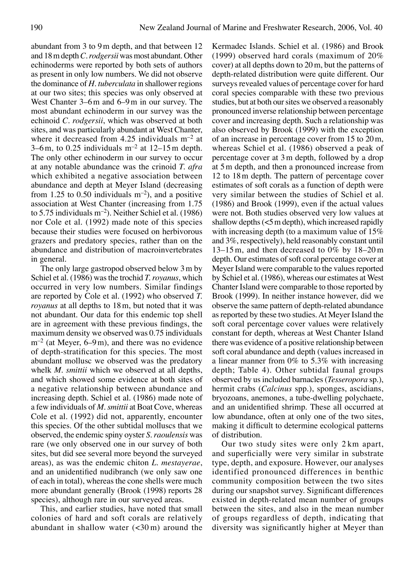abundant from 3 to 9m depth, and that between 12 and 18m depth *C. rodgersii* was most abundant. Other echinoderms were reported by both sets of authors as present in only low numbers. We did not observe the dominance of *H. tuberculata* in shallower regions at our two sites; this species was only observed at West Chanter 3–6m and 6–9m in our survey. The most abundant echinoderm in our survey was the echinoid *C. rodgersii*, which was observed at both sites, and was particularly abundant at West Chanter, where it decreased from 4.25 individuals  $m^{-2}$  at 3–6m, to 0.25 individuals  $m^{-2}$  at 12–15m depth. The only other echinoderm in our survey to occur at any notable abundance was the crinoid *T. afra* which exhibited a negative association between abundance and depth at Meyer Island (decreasing from 1.25 to 0.50 individuals  $m^{-2}$ ), and a positive association at West Chanter (increasing from 1.75 to 5.75 individuals m–2). Neither Schiel et al. (1986) nor Cole et al. (1992) made note of this species because their studies were focused on herbivorous grazers and predatory species, rather than on the abundance and distribution of macroinvertebrates in general.

 The only large gastropod observed below 3m by Schiel et al. (1986) was the trochid *T. royanus*, which occurred in very low numbers. Similar findings are reported by Cole et al. (1992) who observed *T. royanus* at all depths to 18m, but noted that it was not abundant. Our data for this endemic top shell are in agreement with these previous findings, the maximum density we observed was 0.75 individuals  $m^{-2}$  (at Meyer, 6–9m), and there was no evidence of depth-stratification for this species. The most abundant mollusc we observed was the predatory whelk *M. smittii* which we observed at all depths, and which showed some evidence at both sites of a negative relationship between abundance and increasing depth. Schiel et al. (1986) made note of a few individuals of *M. smittii* at Boat Cove, whereas Cole et al. (1992) did not, apparently, encounter this species. Of the other subtidal molluscs that we observed, the endemic spiny oyster *S. raoulensis* was rare (we only observed one in our survey of both sites, but did see several more beyond the surveyed areas), as was the endemic chiton *L. mestayerae*, and an unidentified nudibranch (we only saw one of each in total), whereas the cone shells were much more abundant generally (Brook (1998) reports 28 species), although rare in our surveyed areas.

 This, and earlier studies, have noted that small colonies of hard and soft corals are relatively abundant in shallow water  $\left( < 30 \text{ m} \right)$  around the

Kermadec Islands. Schiel et al. (1986) and Brook (1999) observed hard corals (maximum of 20% cover) at all depths down to 20m, but the patterns of depth-related distribution were quite different. Our surveys revealed values of percentage cover for hard coral species comparable with these two previous studies, but at both our sites we observed a reasonably pronounced inverse relationship between percentage cover and increasing depth. Such a relationship was also observed by Brook (1999) with the exception of an increase in percentage cover from 15 to 20m, whereas Schiel et al. (1986) observed a peak of percentage cover at 3m depth, followed by a drop at 5m depth, and then a pronounced increase from 12 to 18m depth. The pattern of percentage cover estimates of soft corals as a function of depth were very similar between the studies of Schiel et al. (1986) and Brook (1999), even if the actual values were not. Both studies observed very low values at shallow depths  $(<5$  m depth), which increased rapidly with increasing depth (to a maximum value of 15%) and 3%, respectively), held reasonably constant until 13–15m, and then decreased to 0% by 18–20m depth. Our estimates of soft coral percentage cover at Meyer Island were comparable to the values reported by Schiel et al. (1986), whereas our estimates at West Chanter Island were comparable to those reported by Brook (1999). In neither instance however, did we observe the same pattern of depth-related abundance as reported by these two studies. At Meyer Island the soft coral percentage cover values were relatively constant for depth, whereas at West Chanter Island there was evidence of a positive relationship between soft coral abundance and depth (values increased in a linear manner from 0% to 5.3% with increasing depth; Table 4). Other subtidal faunal groups observed by us included barnacles (*Tesseropora* sp.), hermit crabs (*Calcinus* spp.), sponges, ascidians, bryozoans, anemones, a tube-dwelling polychaete, and an unidentified shrimp. These all occurred at low abundance, often at only one of the two sites, making it difficult to determine ecological patterns of distribution.

 Our two study sites were only 2 km apart, and superficially were very similar in substrate type, depth, and exposure. However, our analyses identified pronounced differences in benthic community composition between the two sites during our snapshot survey. Significant differences existed in depth-related mean number of groups between the sites, and also in the mean number of groups regardless of depth, indicating that diversity was significantly higher at Meyer than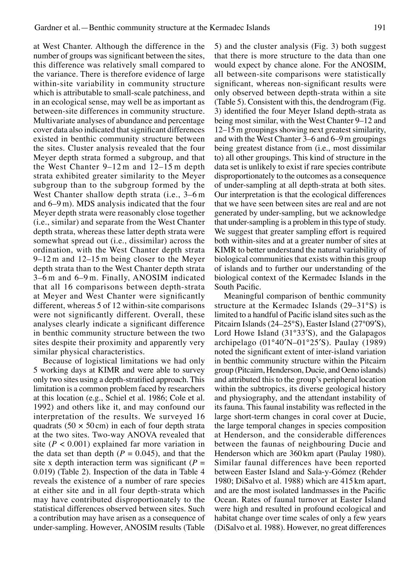at West Chanter. Although the difference in the number of groups was significant between the sites, this difference was relatively small compared to the variance. There is therefore evidence of large within-site variability in community structure which is attributable to small-scale patchiness, and in an ecological sense, may well be as important as between-site differences in community structure. Multivariate analyses of abundance and percentage cover data also indicated that significant differences existed in benthic community structure between the sites. Cluster analysis revealed that the four Meyer depth strata formed a subgroup, and that the West Chanter 9–12 m and 12–15 m depth strata exhibited greater similarity to the Meyer subgroup than to the subgroup formed by the West Chanter shallow depth strata (i.e., 3–6 m and 6–9 m). MDS analysis indicated that the four Meyer depth strata were reasonably close together (i.e., similar) and separate from the West Chanter depth strata, whereas these latter depth strata were somewhat spread out (i.e., dissimilar) across the ordination, with the West Chanter depth strata 9–12 m and 12–15 m being closer to the Meyer depth strata than to the West Chanter depth strata 3–6 m and 6–9 m. Finally, ANOSIM indicated that all 16 comparisons between depth-strata at Meyer and West Chanter were significantly different, whereas 5 of 12 within-site comparisons were not significantly different. Overall, these analyses clearly indicate a significant difference in benthic community structure between the two sites despite their proximity and apparently very similar physical characteristics.

Because of logistical limitations we had only 5 working days at KIMR and were able to survey only two sites using a depth-stratified approach. This limitation is a common problem faced by researchers at this location (e.g., Schiel et al. 1986; Cole et al. 1992) and others like it, and may confound our interpretation of the results. We surveyed 16 quadrats (50  $\times$  50 cm) in each of four depth strata at the two sites. Two-way ANOVA revealed that site ( $P < 0.001$ ) explained far more variation in the data set than depth  $(P = 0.045)$ , and that the site x depth interaction term was significant  $(P =$ 0.019) (Table 2). Inspection of the data in Table 4 reveals the existence of a number of rare species at either site and in all four depth-strata which may have contributed disproportionately to the statistical differences observed between sites. Such a contribution may have arisen as a consequence of under-sampling. However, ANOSIM results (Table 5) and the cluster analysis (Fig. 3) both suggest that there is more structure to the data than one would expect by chance alone. For the ANOSIM, all between-site comparisons were statistically significant, whereas non-significant results were only observed between depth-strata within a site (Table 5). Consistent with this, the dendrogram (Fig. 3) identified the four Meyer Island depth-strata as being most similar, with the West Chanter 9–12 and 12–15m groupings showing next greatest similarity, and with the West Chanter 3–6 and 6–9m groupings being greatest distance from (i.e., most dissimilar to) all other groupings. This kind of structure in the data set is unlikely to exist if rare species contribute disproportionately to the outcomes as a consequence of under-sampling at all depth-strata at both sites. Our interpretation is that the ecological differences that we have seen between sites are real and are not generated by under-sampling, but we acknowledge that under-sampling is a problem in this type of study. We suggest that greater sampling effort is required both within-sites and at a greater number of sites at KIMR to better understand the natural variability of biological communities that exists within this group of islands and to further our understanding of the biological context of the Kermadec Islands in the South Pacific.

Meaningful comparison of benthic community structure at the Kermadec Islands (29–31°S) is limited to a handful of Pacific island sites such as the Pitcairn Islands (24–25°S), Easter Island (27°09′S), Lord Howe Island (31°33′S), and the Galapagos archipelago (01°40′N–01°25′S). Paulay (1989) noted the significant extent of inter-island variation in benthic community structure within the Pitcairn group (Pitcairn, Henderson, Ducie, and Oeno islands) and attributed this to the group's peripheral location within the subtropics, its diverse geological history and physiography, and the attendant instability of its fauna. This faunal instability was reflected in the large short-term changes in coral cover at Ducie, the large temporal changes in species composition at Henderson, and the considerable differences between the faunas of neighbouring Ducie and Henderson which are 360 km apart (Paulay 1980). Similar faunal differences have been reported between Easter Island and Sala-y-Gómez (Rehder 1980; DiSalvo et al. 1988) which are 415 km apart, and are the most isolated landmasses in the Pacific Ocean. Rates of faunal turnover at Easter Island were high and resulted in profound ecological and habitat change over time scales of only a few years (DiSalvo et al. 1988). However, no great differences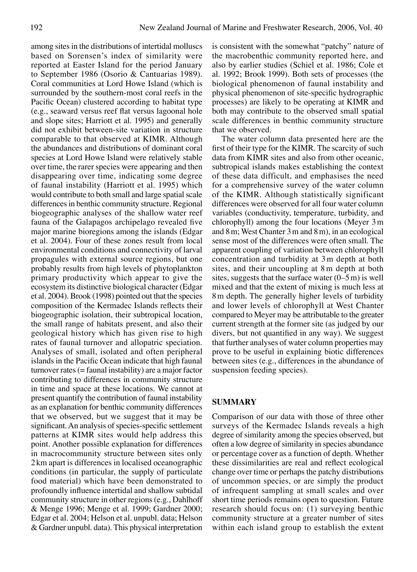among sites in the distributions of intertidal molluscs based on Sorensen's index of similarity were reported at Easter Island for the period January to September 1986 (Osorio & Cantuarias 1989). Coral communities at Lord Howe Island (which is surrounded by the southern-most coral reefs in the Pacific Ocean) clustered according to habitat type (e.g., seaward versus reef flat versus lagoonal hole and slope sites; Harriott et al. 1995) and generally did not exhibit between-site variation in structure comparable to that observed at KIMR. Although the abundances and distributions of dominant coral species at Lord Howe Island were relatively stable over time, the rarer species were appearing and then disappearing over time, indicating some degree of faunal instability (Harriott et al. 1995) which would contribute to both small and large spatial scale differences in benthic community structure. Regional biogeographic analyses of the shallow water reef fauna of the Galapagos archipelago revealed five major marine bioregions among the islands (Edgar et al. 2004). Four of these zones result from local environmental conditions and connectivity of larval propagules with external source regions, but one probably results from high levels of phytoplankton primary productivity which appear to give the ecosystem its distinctive biological character (Edgar et al. 2004). Brook (1998) pointed out that the species composition of the Kermadec Islands reflects their biogeographic isolation, their subtropical location, the small range of habitats present, and also their geological history which has given rise to high rates of faunal turnover and allopatric speciation. Analyses of small, isolated and often peripheral islands in the Pacific Ocean indicate that high faunal turnover rates (= faunal instability) are a major factor contributing to differences in community structure in time and space at these locations. We cannot at present quantify the contribution of faunal instability as an explanation for benthic community differences that we observed, but we suggest that it may be significant. An analysis of species-specific settlement patterns at KIMR sites would help address this point. Another possible explanation for differences in macrocommunity structure between sites only 2km apart is differences in localised oceanographic conditions (in particular, the supply of particulate food material) which have been demonstrated to profoundly influence intertidal and shallow subtidal community structure in other regions (e.g., Dahlhoff & Menge 1996; Menge et al. 1999; Gardner 2000; Edgar et al. 2004; Helson et al. unpubl. data; Helson & Gardner unpubl. data). This physical interpretation

is consistent with the somewhat "patchy" nature of the macrobenthic community reported here, and also by earlier studies (Schiel et al. 1986; Cole et al. 1992; Brook 1999). Both sets of processes (the biological phenomenon of faunal instability and physical phenomenon of site-specific hydrographic processes) are likely to be operating at KIMR and both may contribute to the observed small spatial scale differences in benthic community structure that we observed.

 The water column data presented here are the first of their type for the KIMR. The scarcity of such data from KIMR sites and also from other oceanic, subtropical islands makes establishing the context of these data difficult, and emphasises the need for a comprehensive survey of the water column of the KIMR. Although statistically significant differences were observed for all four water column variables (conductivity, temperature, turbidity, and chlorophyll) among the four locations (Meyer 3m and 8m; West Chanter 3m and 8m), in an ecological sense most of the differences were often small. The apparent coupling of variation between chlorophyll concentration and turbidity at 3m depth at both sites, and their uncoupling at 8m depth at both sites, suggests that the surface water  $(0-5 \text{ m})$  is well mixed and that the extent of mixing is much less at 8m depth. The generally higher levels of turbidity and lower levels of chlorophyll at West Chanter compared to Meyer may be attributable to the greater current strength at the former site (as judged by our divers, but not quantified in any way). We suggest that further analyses of water column properties may prove to be useful in explaining biotic differences between sites (e.g., differences in the abundance of suspension feeding species).

## **Summary**

Comparison of our data with those of three other surveys of the Kermadec Islands reveals a high degree of similarity among the species observed, but often a low degree of similarity in species abundance or percentage cover as a function of depth. Whether these dissimilarities are real and reflect ecological change over time or perhaps the patchy distributions of uncommon species, or are simply the product of infrequent sampling at small scales and over short time periods remains open to question. Future research should focus on: (1) surveying benthic community structure at a greater number of sites within each island group to establish the extent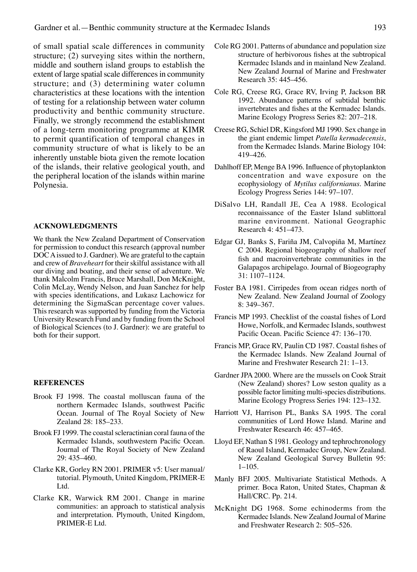of small spatial scale differences in community structure; (2) surveying sites within the northern, middle and southern island groups to establish the extent of large spatial scale differences in community structure; and (3) determining water column characteristics at these locations with the intention of testing for a relationship between water column productivity and benthic community structure. Finally, we strongly recommend the establishment of a long-term monitoring programme at KIMR to permit quantification of temporal changes in community structure of what is likely to be an inherently unstable biota given the remote location of the islands, their relative geological youth, and the peripheral location of the islands within marine Polynesia.

#### **ACKNOWLEDGMENTS**

We thank the New Zealand Department of Conservation for permission to conduct this research (approval number DOC A issued to J. Gardner). We are grateful to the captain and crew of *Braveheart* for their skilful assistance with all our diving and boating, and their sense of adventure. We thank Malcolm Francis, Bruce Marshall, Don McKnight, Colin McLay, Wendy Nelson, and Juan Sanchez for help with species identifications, and Lukasz Lachowicz for determining the SigmaScan percentage cover values. This research was supported by funding from the Victoria University Research Fund and by funding from the School of Biological Sciences (to J. Gardner): we are grateful to both for their support.

#### **REFERENCES**

- Brook FJ 1998. The coastal molluscan fauna of the northern Kermadec Islands, southwest Pacific Ocean. Journal of The Royal Society of New Zealand 28: 185–233.
- Brook FJ 1999. The coastal scleractinian coral fauna of the Kermadec Islands, southwestern Pacific Ocean. Journal of The Royal Society of New Zealand 29: 435–460.
- Clarke KR, Gorley RN 2001. PRIMER v5: User manual/ tutorial. Plymouth, United Kingdom, PRIMER-E Ltd.
- Clarke KR, Warwick RM 2001. Change in marine communities: an approach to statistical analysis and interpretation. Plymouth, United Kingdom, PRIMER-E Ltd.
- Cole RG 2001. Patterns of abundance and population size structure of herbivorous fishes at the subtropical Kermadec Islands and in mainland New Zealand. New Zealand Journal of Marine and Freshwater Research 35: 445–456.
- Cole RG, Creese RG, Grace RV, Irving P, Jackson BR 1992. Abundance patterns of subtidal benthic invertebrates and fishes at the Kermadec Islands. Marine Ecology Progress Series 82: 207–218.
- Creese RG, Schiel DR, Kingsford MJ 1990. Sex change in the giant endemic limpet *Patella kermadecensis*, from the Kermadec Islands. Marine Biology 104: 419–426.
- Dahlhoff EP, Menge BA 1996. Influence of phytoplankton concentration and wave exposure on the ecophysiology of *Mytilus californianus*. Marine Ecology Progress Series 144: 97–107.
- DiSalvo LH, Randall JE, Cea A 1988. Ecological reconnaissance of the Easter Island sublittoral marine environment. National Geographic Research 4: 451–473.
- Edgar GJ, Banks S, Fariña JM, Calvopiña M, Martínez C 2004. Regional biogeography of shallow reef fish and macroinvertebrate communities in the Galapagos archipelago. Journal of Biogeography 31: 1107–1124.
- Foster BA 1981. Cirripedes from ocean ridges north of New Zealand. New Zealand Journal of Zoology 8: 349–367.
- Francis MP 1993. Checklist of the coastal fishes of Lord Howe, Norfolk, and Kermadec Islands, southwest Pacific Ocean. Pacific Science 47: 136–170.
- Francis MP, Grace RV, Paulin CD 1987. Coastal fishes of the Kermadec Islands. New Zealand Journal of Marine and Freshwater Research 21: 1–13.
- Gardner JPA 2000. Where are the mussels on Cook Strait (New Zealand) shores? Low seston quality as a possible factor limiting multi-species distributions. Marine Ecology Progress Series 194: 123–132.
- Harriott VJ, Harrison PL, Banks SA 1995. The coral communities of Lord Howe Island. Marine and Freshwater Research 46: 457–465.
- Lloyd EF, Nathan S 1981. Geology and tephrochronology of Raoul Island, Kermadec Group, New Zealand. New Zealand Geological Survey Bulletin 95: 1–105.
- Manly BFJ 2005. Multivariate Statistical Methods. A primer. Boca Raton, United States, Chapman & Hall/CRC. Pp. 214.
- McKnight DG 1968. Some echinoderms from the Kermadec Islands. New Zealand Journal of Marine and Freshwater Research 2: 505–526.